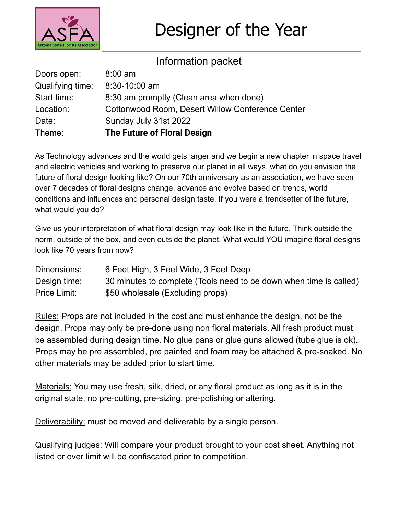

## Information packet

| Doors open:      | $8:00$ am                                               |
|------------------|---------------------------------------------------------|
| Qualifying time: | 8:30-10:00 am                                           |
| Start time:      | 8:30 am promptly (Clean area when done)                 |
| Location:        | <b>Cottonwood Room, Desert Willow Conference Center</b> |
| Date:            | Sunday July 31st 2022                                   |
| Theme:           | The Future of Floral Design                             |

As Technology advances and the world gets larger and we begin a new chapter in space travel and electric vehicles and working to preserve our planet in all ways, what do you envision the future of floral design looking like? On our 70th anniversary as an association, we have seen over 7 decades of floral designs change, advance and evolve based on trends, world conditions and influences and personal design taste. If you were a trendsetter of the future, what would you do?

Give us your interpretation of what floral design may look like in the future. Think outside the norm, outside of the box, and even outside the planet. What would YOU imagine floral designs look like 70 years from now?

| Dimensions:  | 6 Feet High, 3 Feet Wide, 3 Feet Deep                              |
|--------------|--------------------------------------------------------------------|
| Design time: | 30 minutes to complete (Tools need to be down when time is called) |
| Price Limit: | \$50 wholesale (Excluding props)                                   |

Rules: Props are not included in the cost and must enhance the design, not be the design. Props may only be pre-done using non floral materials. All fresh product must be assembled during design time. No glue pans or glue guns allowed (tube glue is ok). Props may be pre assembled, pre painted and foam may be attached & pre-soaked. No other materials may be added prior to start time.

Materials: You may use fresh, silk, dried, or any floral product as long as it is in the original state, no pre-cutting, pre-sizing, pre-polishing or altering.

Deliverability: must be moved and deliverable by a single person.

Qualifying judges: Will compare your product brought to your cost sheet. Anything not listed or over limit will be confiscated prior to competition.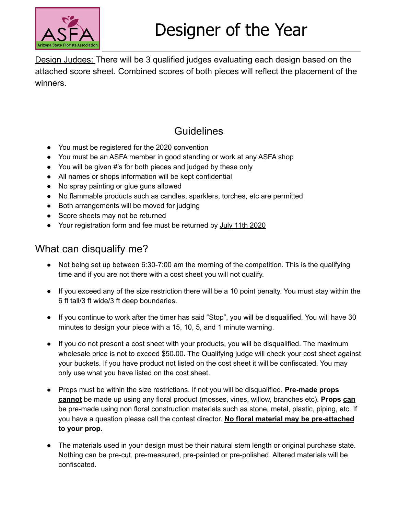

Design Judges: There will be 3 qualified judges evaluating each design based on the attached score sheet. Combined scores of both pieces will reflect the placement of the winners.

## **Guidelines**

- You must be registered for the 2020 convention
- You must be an ASFA member in good standing or work at any ASFA shop
- You will be given #'s for both pieces and judged by these only
- All names or shops information will be kept confidential
- No spray painting or glue guns allowed
- No flammable products such as candles, sparklers, torches, etc are permitted
- Both arrangements will be moved for judging
- Score sheets may not be returned
- Your registration form and fee must be returned by July 11th 2020

## What can disqualify me?

- Not being set up between 6:30-7:00 am the morning of the competition. This is the qualifying time and if you are not there with a cost sheet you will not qualify.
- If you exceed any of the size restriction there will be a 10 point penalty. You must stay within the 6 ft tall/3 ft wide/3 ft deep boundaries.
- If you continue to work after the timer has said "Stop", you will be disqualified. You will have 30 minutes to design your piece with a 15, 10, 5, and 1 minute warning.
- If you do not present a cost sheet with your products, you will be disqualified. The maximum wholesale price is not to exceed \$50.00. The Qualifying judge will check your cost sheet against your buckets. If you have product not listed on the cost sheet it will be confiscated. You may only use what you have listed on the cost sheet.
- Props must be within the size restrictions. If not you will be disqualified. **Pre-made props cannot** be made up using any floral product (mosses, vines, willow, branches etc). **Props can** be pre-made using non floral construction materials such as stone, metal, plastic, piping, etc. If you have a question please call the contest director. **No floral material may be pre-attached to your prop.**
- The materials used in your design must be their natural stem length or original purchase state. Nothing can be pre-cut, pre-measured, pre-painted or pre-polished. Altered materials will be confiscated.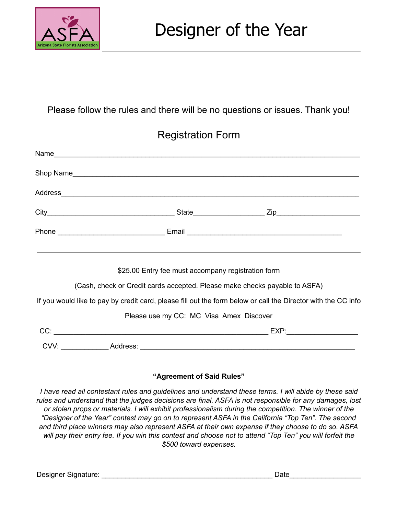

### Please follow the rules and there will be no questions or issues. Thank you!

## Registration Form

| Name                                                                                                                                                                                                                           |  |  |
|--------------------------------------------------------------------------------------------------------------------------------------------------------------------------------------------------------------------------------|--|--|
|                                                                                                                                                                                                                                |  |  |
| Address experience and the contract of the contract of the contract of the contract of the contract of the contract of the contract of the contract of the contract of the contract of the contract of the contract of the con |  |  |
|                                                                                                                                                                                                                                |  |  |
|                                                                                                                                                                                                                                |  |  |
| \$25.00 Entry fee must accompany registration form                                                                                                                                                                             |  |  |
| (Cash, check or Credit cards accepted. Please make checks payable to ASFA)                                                                                                                                                     |  |  |
| If you would like to pay by credit card, please fill out the form below or call the Director with the CC info                                                                                                                  |  |  |
| Please use my CC: MC Visa Amex Discover                                                                                                                                                                                        |  |  |
|                                                                                                                                                                                                                                |  |  |
|                                                                                                                                                                                                                                |  |  |

#### **"Agreement of Said Rules"**

I have read all contestant rules and guidelines and understand these terms. I will abide by these said *rules and understand that the judges decisions are final. ASFA is not responsible for any damages, lost or stolen props or materials. I will exhibit professionalism during the competition. The winner of the "Designer of the Year" contest may go on to represent ASFA in the California "Top Ten". The second* and third place winners may also represent ASFA at their own expense if they choose to do so. ASFA will pay their entry fee. If you win this contest and choose not to attend "Top Ten" you will forfeit the *\$500 toward expenses.*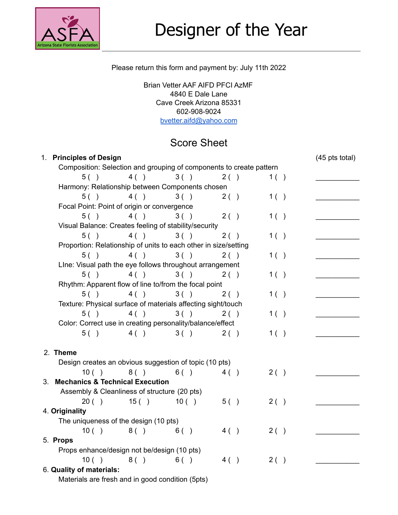

#### Please return this form and payment by: July 11th 2022

Brian Vetter AAF AIFD PFCI AzMF 4840 E Dale Lane Cave Creek Arizona 85331 602-908-9024 [bvetter.aifd@yahoo.com](mailto:bvetter.aifd@yahoo.com)

## Score Sheet

| 1.                       | <b>Principles of Design</b>                                         |       |       |      |     | $(45 \text{ pts total})$ |
|--------------------------|---------------------------------------------------------------------|-------|-------|------|-----|--------------------------|
|                          | Composition: Selection and grouping of components to create pattern |       |       |      |     |                          |
|                          | 5( )                                                                | 4()   | 3()   | 2()  | 1() |                          |
|                          | Harmony: Relationship between Components chosen                     |       |       |      |     |                          |
|                          | 5( )                                                                | 4()   | 3()   | 2()  | 1() |                          |
|                          | Focal Point: Point of origin or convergence                         |       |       |      |     |                          |
|                          | 5( )                                                                | 4()   | 3()   | 2()  | 1() |                          |
|                          | Visual Balance: Creates feeling of stability/security               |       |       |      |     |                          |
|                          | 5( )                                                                | 4( )  | 3()   | 2()  | 1() |                          |
|                          | Proportion: Relationship of units to each other in size/setting     |       |       |      |     |                          |
|                          | 5()                                                                 | 4()   | 3()   | 2()  | 1() |                          |
|                          | Line: Visual path the eye follows throughout arrangement            |       |       |      |     |                          |
|                          | 5( )                                                                | 4()   | 3()   | 2()  | 1() |                          |
|                          | Rhythm: Apparent flow of line to/from the focal point               |       |       |      |     |                          |
|                          | 5( )                                                                | 4()   | 3()   | 2()  | 1() |                          |
|                          | Texture: Physical surface of materials affecting sight/touch        |       |       |      |     |                          |
|                          | 5( )                                                                | 4()   | 3()   | 2()  | 1() |                          |
|                          | Color: Correct use in creating personality/balance/effect           |       |       |      |     |                          |
|                          | 5( )                                                                | 4()   | 3()   | 2( ) | 1() |                          |
|                          |                                                                     |       |       |      |     |                          |
|                          | 2. Theme                                                            |       |       |      |     |                          |
|                          | Design creates an obvious suggestion of topic (10 pts)              |       |       |      |     |                          |
|                          | 10( )                                                               | 8()   | 6()   | 4()  | 2() |                          |
|                          | 3. Mechanics & Technical Execution                                  |       |       |      |     |                          |
|                          | Assembly & Cleanliness of structure (20 pts)                        |       |       |      |     |                          |
|                          | 20()                                                                | 15( ) | 10( ) | 5( ) | 2() |                          |
|                          | 4. Originality                                                      |       |       |      |     |                          |
|                          | The uniqueness of the design (10 pts)                               |       |       |      |     |                          |
|                          | 10( )                                                               | 8 ()  | 6()   | 4()  | 2() |                          |
|                          | 5. Props                                                            |       |       |      |     |                          |
|                          | Props enhance/design not be/design (10 pts)                         |       |       |      |     |                          |
|                          | 10( )                                                               | 8( )  | 6()   | 4()  | 2() |                          |
| 6. Quality of materials: |                                                                     |       |       |      |     |                          |
|                          | Materials are fresh and in good condition (5pts)                    |       |       |      |     |                          |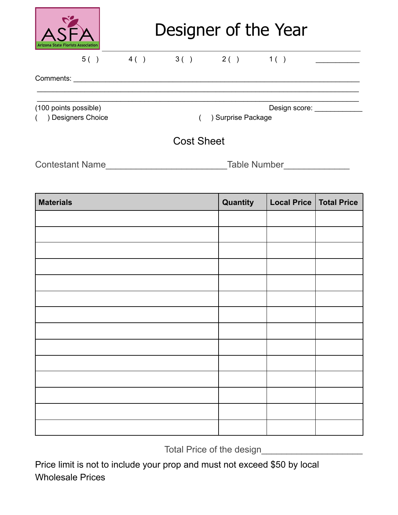

# Designer of the Year

 $\mathcal{L}_\mathcal{L} = \{ \mathcal{L}_\mathcal{L} = \{ \mathcal{L}_\mathcal{L} = \{ \mathcal{L}_\mathcal{L} = \{ \mathcal{L}_\mathcal{L} = \{ \mathcal{L}_\mathcal{L} = \{ \mathcal{L}_\mathcal{L} = \{ \mathcal{L}_\mathcal{L} = \{ \mathcal{L}_\mathcal{L} = \{ \mathcal{L}_\mathcal{L} = \{ \mathcal{L}_\mathcal{L} = \{ \mathcal{L}_\mathcal{L} = \{ \mathcal{L}_\mathcal{L} = \{ \mathcal{L}_\mathcal{L} = \{ \mathcal{L}_\mathcal{$ 

## $5() \qquad 4() \qquad 3() \qquad 2() \qquad 1() \qquad 2()$

Comments: \_\_\_\_\_\_\_\_\_\_\_\_\_\_\_\_\_\_\_\_\_\_\_\_\_\_\_\_\_\_\_\_\_\_\_\_\_\_\_\_\_\_\_\_\_\_\_\_\_\_\_\_\_\_\_\_\_\_\_\_\_\_\_\_\_\_\_\_\_\_\_\_

(100 points possible) and the contract of the Design score: Letter and the Design score:

( ) Designers Choice ( ) Surprise Package

## Cost Sheet

\_\_\_\_\_\_\_\_\_\_\_\_\_\_\_\_\_\_\_\_\_\_\_\_\_\_\_\_\_\_\_\_\_\_\_\_\_\_\_\_\_\_\_\_\_\_\_\_\_\_\_\_\_\_\_\_\_\_\_\_\_\_\_\_\_\_\_\_\_\_\_\_\_\_\_\_\_\_\_\_\_

Contestant Name\_\_\_\_\_\_\_\_\_\_\_\_\_\_\_\_\_\_\_\_\_\_\_\_Table Number\_\_\_\_\_\_\_\_\_\_\_\_\_

| <b>Materials</b> | Quantity | Local Price   Total Price |  |
|------------------|----------|---------------------------|--|
|                  |          |                           |  |
|                  |          |                           |  |
|                  |          |                           |  |
|                  |          |                           |  |
|                  |          |                           |  |
|                  |          |                           |  |
|                  |          |                           |  |
|                  |          |                           |  |
|                  |          |                           |  |
|                  |          |                           |  |
|                  |          |                           |  |
|                  |          |                           |  |
|                  |          |                           |  |
|                  |          |                           |  |

Total Price of the design\_\_\_\_\_\_\_\_\_\_\_\_\_\_\_\_\_\_\_\_

Price limit is not to include your prop and must not exceed \$50 by local Wholesale Prices